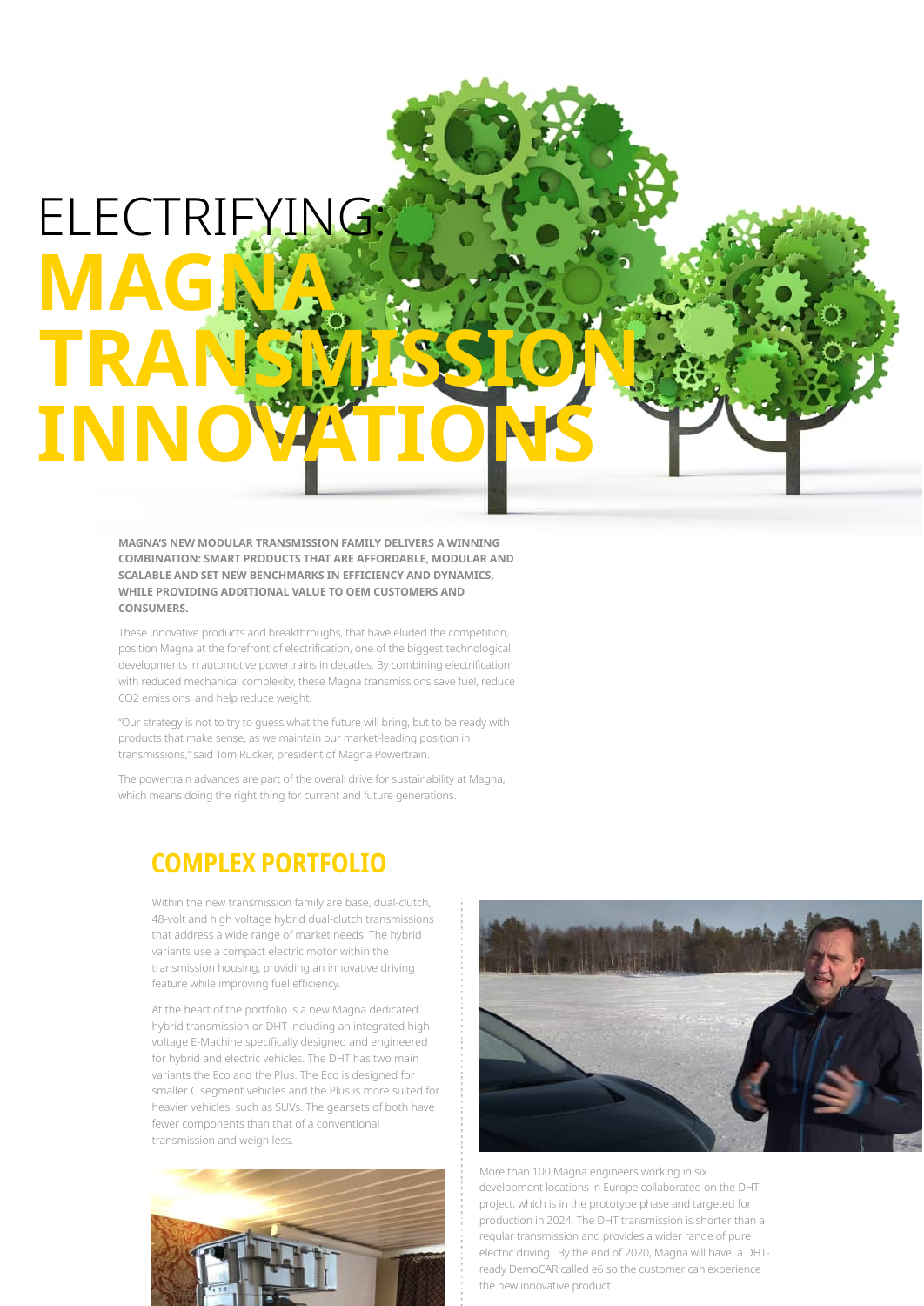## ELECTRIFYING: **MAGA** TRA **INNC**

MAGNA'S NEW MODULAR TRANSMISSION FAMILY DELIVERS A WINNING **COMBINATION: SMART PRODUCTS THAT ARE AFFORDABLE. MODULAR AND** SCALABLE AND SET NEW BENCHMARKS IN EFFICIENCY AND DYNAMICS, WHILE PROVIDING ADDITIONAL VALUE TO OEM CUSTOMERS AND **CONSUMERS.** 

These innovative products and breakthroughs, that have eluded the competition, position Magna at the forefront of electrification, one of the biggest technological developments in automotive powertrains in decades. By combining electrification with reduced mechanical complexity, these Magna transmissions save fuel, reduce CO2 emissions, and help reduce weight.

"Our strategy is not to try to guess what the future will bring, but to be ready with products that make sense, as we maintain our market-leading position in transmissions," said Tom Rucker, president of Magna Powertrain.

The powertrain advances are part of the overall drive for sustainability at Magna, which means doing the right thing for current and future generations.

## **COMPLEX PORTFOLIO**

Within the new transmission family are base, dual-clutch, 48-volt and high voltage hybrid dual-clutch transmissions that address a wide range of market needs. The hybrid variants use a compact electric motor within the transmission housing, providing an innovative driving feature while improving fuel efficiency.

At the heart of the portfolio is a new Magna dedicated hybrid transmission or DHT including an integrated high voltage E-Machine specifically designed and engineered for hybrid and electric vehicles. The DHT has two main variants the Eco and the Plus. The Eco is designed for smaller C segment vehicles and the Plus is more suited for heavier vehicles, such as SUVs. The gearsets of both have fewer components than that of a conventional transmission and weigh less.





More than 100 Magna engineers working in six development locations in Europe collaborated on the DHT project, which is in the prototype phase and targeted for production in 2024. The DHT transmission is shorter than a regular transmission and provides a wider range of pure electric driving. By the end of 2020, Magna will have a DHTready DemoCAR called e6 so the customer can experience the new innovative product.